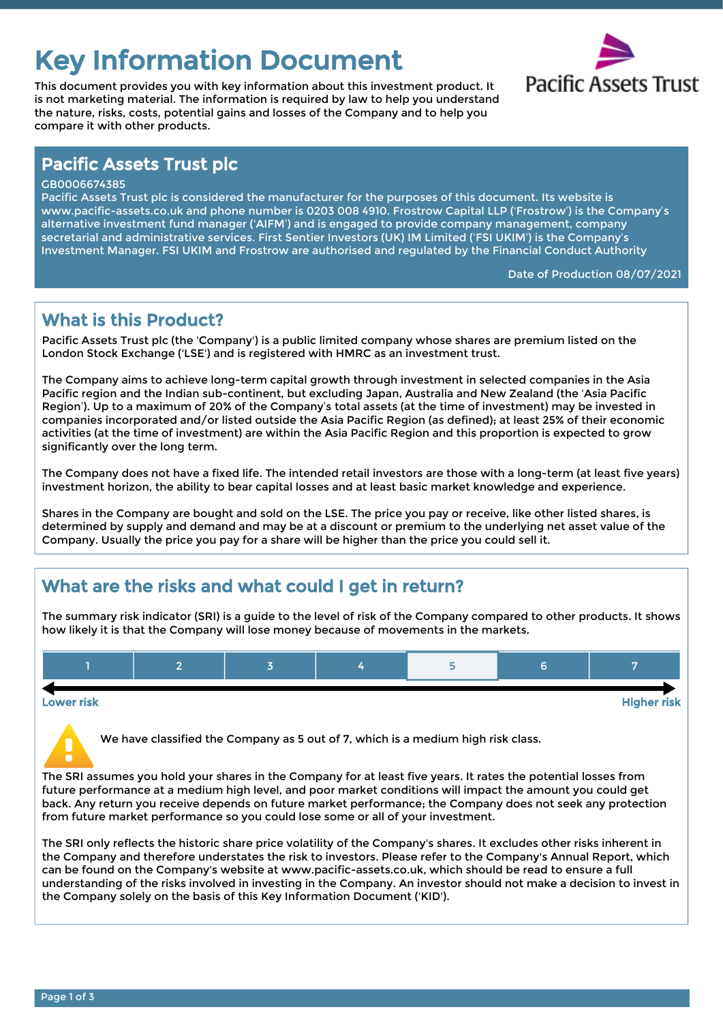# Key Information Document<br>This document provides you with key information about this investment product. It Pacific Assets Trust

This document provides you with key information about this investment product. It is not marketing material. The information is required by law to help you understand the nature, risks, costs, potential gains and losses of the Company and to help you compare it with other products.



## Pacific Assets Trust plc

#### GB0006674385

Pacific Assets Trust plc is considered the manufacturer for the purposes of this document. Its website is www.pacific-assets.co.uk and phone number is 0203 008 4910. Frostrow Capital LLP ('Frostrow') is the Company's alternative investment fund manager ('AIFM') and is engaged to provide company management, company secretarial and administrative services. First Sentier Investors (UK) IM Limited ('FSI UKIM') is the Company's Investment Manager. FSI UKIM and Frostrow are authorised and regulated by the Financial Conduct Authority

Date of Production 08/07/2021

## What is this Product?

Pacific Assets Trust plc (the 'Company') is a public limited company whose shares are premium listed on the London Stock Exchange ('LSE') and is registered with HMRC as an investment trust.

The Company aims to achieve long-term capital growth through investment in selected companies in the Asia Pacific region and the Indian sub-continent, but excluding Japan, Australia and New Zealand (the 'Asia Pacific Region'). Up to a maximum of 20% of the Company's total assets (at the time of investment) may be invested in companies incorporated and/or listed outside the Asia Pacific Region (as defined); at least 25% of their economic activities (at the time of investment) are within the Asia Pacific Region and this proportion is expected to grow significantly over the long term.

The Company does not have a fixed life. The intended retail investors are those with a long-term (at least five years) investment horizon, the ability to bear capital losses and at least basic market knowledge and experience.

Shares in the Company are bought and sold on the LSE. The price you pay or receive, like other listed shares, is determined by supply and demand and may be at a discount or premium to the underlying net asset value of the Company. Usually the price you pay for a share will be higher than the price you could sell it.

# What are the risks and what could I get in return?

The summary risk indicator (SRI) is a guide to the level of risk of the Company compared to other products. It shows how likely it is that the Company will lose money because of movements in the markets.



Lower risk Higher risk

We have classified the Company as 5 out of 7, which is a medium high risk class.

The SRI assumes you hold your shares in the Company for at least five years. It rates the potential losses from future performance at a medium high level, and poor market conditions will impact the amount you could get back. Any return you receive depends on future market performance; the Company does not seek any protection from future market performance so you could lose some or all of your investment.

The SRI only reflects the historic share price volatility of the Company's shares. It excludes other risks inherent in the Company and therefore understates the risk to investors. Please refer to the Company's Annual Report, which can be found on the Company's website at www.pacific-assets.co.uk, which should be read to ensure a full understanding of the risks involved in investing in the Company. An investor should not make a decision to invest in the Company solely on the basis of this Key Information Document ('KID').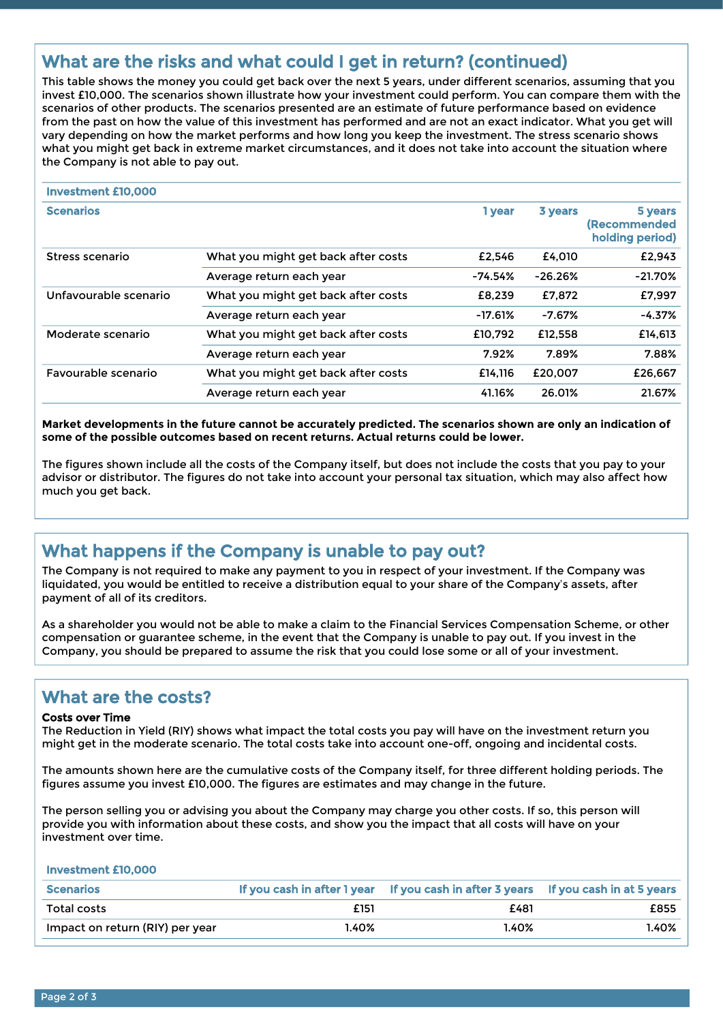# What are the risks and what could I get in return? (continued)

This table shows the money you could get back over the next 5 years, under different scenarios, assuming that you invest £10,000. The scenarios shown illustrate how your investment could perform. You can compare them with the scenarios of other products. The scenarios presented are an estimate of future performance based on evidence from the past on how the value of this investment has performed and are not an exact indicator. What you get will vary depending on how the market performs and how long you keep the investment. The stress scenario shows what you might get back in extreme market circumstances, and it does not take into account the situation where the Company is not able to pay out.

| <b>Investment £10,000</b> |                                     |           |           |                                                   |
|---------------------------|-------------------------------------|-----------|-----------|---------------------------------------------------|
| <b>Scenarios</b>          |                                     | 1 year    | 3 years   | 5 years<br><b>(Recommended</b><br>holding period) |
| Stress scenario           | What you might get back after costs | £2.546    | £4.010    | £2,943                                            |
|                           | Average return each year            | $-74.54%$ | $-26.26%$ | $-21.70%$                                         |
| Unfavourable scenario     | What you might get back after costs | £8,239    | £7,872    | £7,997                                            |
|                           | Average return each year            | $-17.61%$ | $-7.67%$  | $-4.37%$                                          |
| Moderate scenario         | What you might get back after costs | £10.792   | £12.558   | £14,613                                           |
|                           | Average return each year            | 7.92%     | 7.89%     | 7.88%                                             |
| Favourable scenario       | What you might get back after costs | £14.116   | £20.007   | £26.667                                           |
|                           | Average return each year            | 41.16%    | 26.01%    | 21.67%                                            |

**Market developments in the future cannot be accurately predicted. The scenarios shown are only an indication of some of the possible outcomes based on recent returns. Actual returns could be lower.**

The figures shown include all the costs of the Company itself, but does not include the costs that you pay to your advisor or distributor. The figures do not take into account your personal tax situation, which may also affect how much you get back.

# What happens if the Company is unable to pay out?

The Company is not required to make any payment to you in respect of your investment. If the Company was liquidated, you would be entitled to receive a distribution equal to your share of the Company's assets, after payment of all of its creditors.

As a shareholder you would not be able to make a claim to the Financial Services Compensation Scheme, or other compensation or guarantee scheme, in the event that the Company is unable to pay out. If you invest in the Company, you should be prepared to assume the risk that you could lose some or all of your investment.

## What are the costs?

#### Costs over Time

The Reduction in Yield (RIY) shows what impact the total costs you pay will have on the investment return you might get in the moderate scenario. The total costs take into account one-off, ongoing and incidental costs.

The amounts shown here are the cumulative costs of the Company itself, for three different holding periods. The figures assume you invest £10,000. The figures are estimates and may change in the future.

The person selling you or advising you about the Company may charge you other costs. If so, this person will provide you with information about these costs, and show you the impact that all costs will have on your investment over time.

Investment £10,000

| <b>Scenarios</b>                | f vou cash in after 1 vear | If you cash in after 3 years | If you cash in at 5 years |
|---------------------------------|----------------------------|------------------------------|---------------------------|
| Total costs                     | £151                       | £481                         | £855                      |
| Impact on return (RIY) per year | .40%                       | 40%،                         | 1.40%                     |